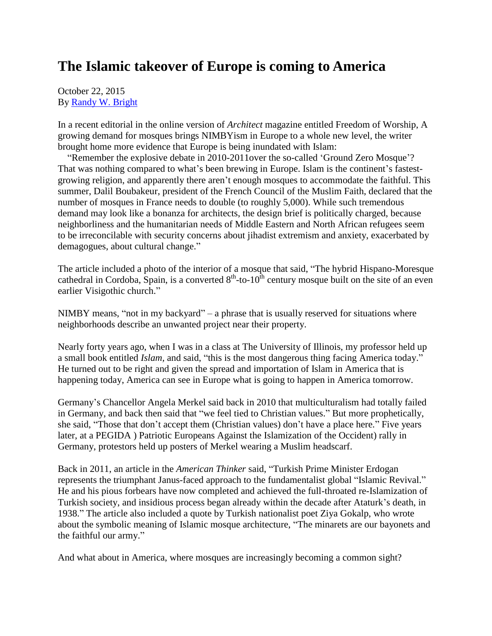## **The Islamic takeover of Europe is coming to America**

October 22, 2015 By [Randy W. Bright](http://www.tulsabeacon.com/author/slug-o6yd1v)

In a recent editorial in the online version of *Architect* magazine entitled Freedom of Worship, A growing demand for mosques brings NIMBYism in Europe to a whole new level, the writer brought home more evidence that Europe is being inundated with Islam:

 "Remember the explosive debate in 2010-2011over the so-called "Ground Zero Mosque"? That was nothing compared to what's been brewing in Europe. Islam is the continent's fastestgrowing religion, and apparently there aren"t enough mosques to accommodate the faithful. This summer, Dalil Boubakeur, president of the French Council of the Muslim Faith, declared that the number of mosques in France needs to double (to roughly 5,000). While such tremendous demand may look like a bonanza for architects, the design brief is politically charged, because neighborliness and the humanitarian needs of Middle Eastern and North African refugees seem to be irreconcilable with security concerns about jihadist extremism and anxiety, exacerbated by demagogues, about cultural change."

The article included a photo of the interior of a mosque that said, "The hybrid Hispano-Moresque cathedral in Cordoba, Spain, is a converted  $8<sup>th</sup>$ -to-10<sup>th</sup> century mosque built on the site of an even earlier Visigothic church."

NIMBY means, "not in my backyard" – a phrase that is usually reserved for situations where neighborhoods describe an unwanted project near their property.

Nearly forty years ago, when I was in a class at The University of Illinois, my professor held up a small book entitled *Islam,* and said, "this is the most dangerous thing facing America today." He turned out to be right and given the spread and importation of Islam in America that is happening today, America can see in Europe what is going to happen in America tomorrow.

Germany"s Chancellor Angela Merkel said back in 2010 that multiculturalism had totally failed in Germany, and back then said that "we feel tied to Christian values." But more prophetically, she said, "Those that don"t accept them (Christian values) don"t have a place here." Five years later, at a PEGIDA ) Patriotic Europeans Against the Islamization of the Occident) rally in Germany, protestors held up posters of Merkel wearing a Muslim headscarf.

Back in 2011, an article in the *American Thinker* said, "Turkish Prime Minister Erdogan represents the triumphant Janus-faced approach to the fundamentalist global "Islamic Revival." He and his pious forbears have now completed and achieved the full-throated re-Islamization of Turkish society, and insidious process began already within the decade after Ataturk"s death, in 1938." The article also included a quote by Turkish nationalist poet Ziya Gokalp, who wrote about the symbolic meaning of Islamic mosque architecture, "The minarets are our bayonets and the faithful our army."

And what about in America, where mosques are increasingly becoming a common sight?